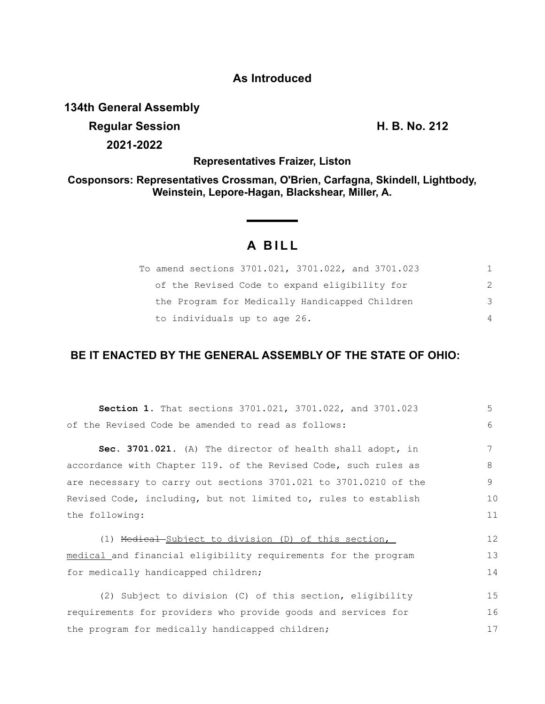### **As Introduced**

**134th General Assembly**

**Regular Session H. B. No. 212 2021-2022**

**Representatives Fraizer, Liston**

**Cosponsors: Representatives Crossman, O'Brien, Carfagna, Skindell, Lightbody, Weinstein, Lepore-Hagan, Blackshear, Miller, A.**

# **A BILL**

| To amend sections 3701.021, 3701.022, and 3701.023 |   |
|----------------------------------------------------|---|
| of the Revised Code to expand eligibility for      | 2 |
| the Program for Medically Handicapped Children     | 3 |
| to individuals up to age 26.                       | 4 |

## **BE IT ENACTED BY THE GENERAL ASSEMBLY OF THE STATE OF OHIO:**

| Section 1. That sections 3701.021, 3701.022, and 3701.023        | 5  |
|------------------------------------------------------------------|----|
| of the Revised Code be amended to read as follows:               | 6  |
| Sec. 3701.021. (A) The director of health shall adopt, in        | 7  |
| accordance with Chapter 119. of the Revised Code, such rules as  | 8  |
| are necessary to carry out sections 3701.021 to 3701.0210 of the | 9  |
| Revised Code, including, but not limited to, rules to establish  | 10 |
| the following:                                                   | 11 |
| (1) Medical Subject to division (D) of this section,             | 12 |
| medical and financial eligibility requirements for the program   |    |
| for medically handicapped children;                              | 14 |
| (2) Subject to division (C) of this section, eligibility         | 15 |
| requirements for providers who provide goods and services for    |    |
| the program for medically handicapped children;                  |    |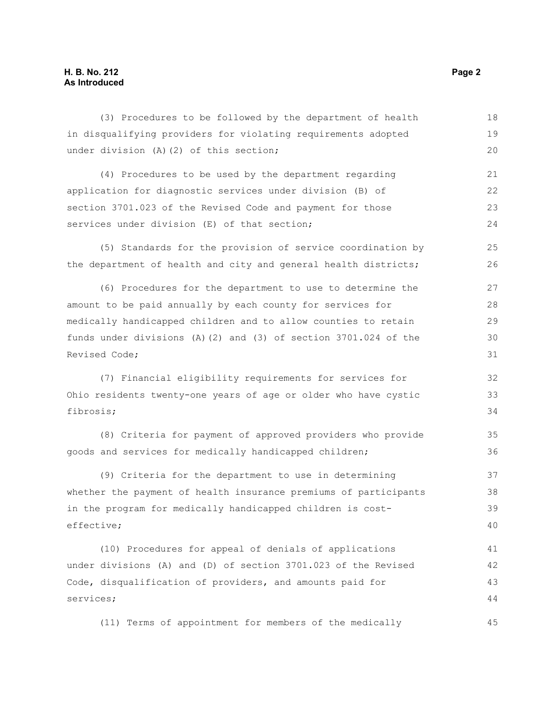### **H. B. No. 212 Page 2 As Introduced**

| (3) Procedures to be followed by the department of health        | 18 |  |
|------------------------------------------------------------------|----|--|
| in disqualifying providers for violating requirements adopted    | 19 |  |
| under division (A) (2) of this section;                          | 20 |  |
| (4) Procedures to be used by the department regarding            | 21 |  |
| application for diagnostic services under division (B) of        | 22 |  |
| section 3701.023 of the Revised Code and payment for those       |    |  |
| services under division (E) of that section;                     | 24 |  |
| (5) Standards for the provision of service coordination by       | 25 |  |
| the department of health and city and general health districts;  | 26 |  |
| (6) Procedures for the department to use to determine the        | 27 |  |
| amount to be paid annually by each county for services for       | 28 |  |
| medically handicapped children and to allow counties to retain   | 29 |  |
| funds under divisions (A)(2) and (3) of section 3701.024 of the  | 30 |  |
| Revised Code;                                                    | 31 |  |
| (7) Financial eligibility requirements for services for          | 32 |  |
| Ohio residents twenty-one years of age or older who have cystic  |    |  |
| fibrosis;                                                        | 34 |  |
| (8) Criteria for payment of approved providers who provide       | 35 |  |
| goods and services for medically handicapped children;           | 36 |  |
| (9) Criteria for the department to use in determining            | 37 |  |
| whether the payment of health insurance premiums of participants | 38 |  |
| in the program for medically handicapped children is cost-       |    |  |
| effective;                                                       | 40 |  |
| (10) Procedures for appeal of denials of applications            | 41 |  |
| under divisions (A) and (D) of section 3701.023 of the Revised   | 42 |  |
| Code, disqualification of providers, and amounts paid for        | 43 |  |
| services;                                                        |    |  |
| (11) Terms of appointment for members of the medically           | 45 |  |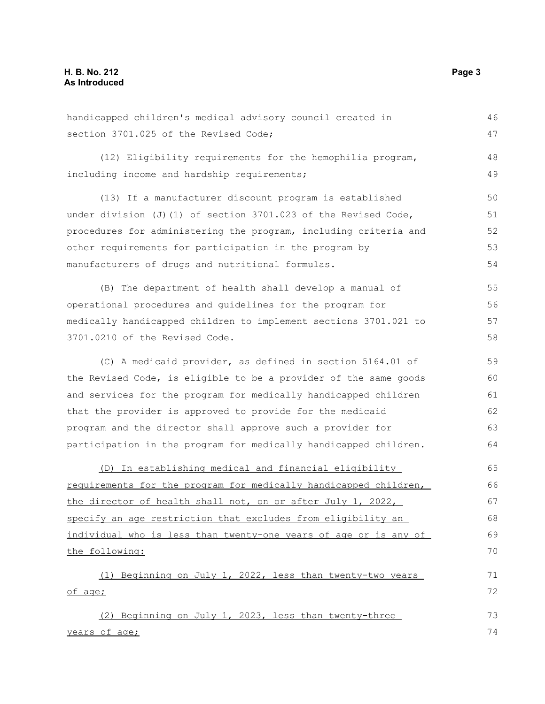handicapped children's medical advisory council created in section 3701.025 of the Revised Code; (12) Eligibility requirements for the hemophilia program, including income and hardship requirements; (13) If a manufacturer discount program is established under division  $(J)$  (1) of section 3701.023 of the Revised Code, procedures for administering the program, including criteria and other requirements for participation in the program by manufacturers of drugs and nutritional formulas. (B) The department of health shall develop a manual of operational procedures and guidelines for the program for medically handicapped children to implement sections 3701.021 to 3701.0210 of the Revised Code. (C) A medicaid provider, as defined in section 5164.01 of the Revised Code, is eligible to be a provider of the same goods and services for the program for medically handicapped children that the provider is approved to provide for the medicaid program and the director shall approve such a provider for participation in the program for medically handicapped children. (D) In establishing medical and financial eligibility requirements for the program for medically handicapped children, the director of health shall not, on or after July 1, 2022, specify an age restriction that excludes from eligibility an individual who is less than twenty-one years of age or is any of the following: (1) Beginning on July 1, 2022, less than twenty-two years of age; (2) Beginning on July 1, 2023, less than twenty-three years of age; 46 47 48 49 50 51 52 53 54 55 56 57 58 59 60 61 62 63 64 65 66 67 68 69 70 71 72 73 74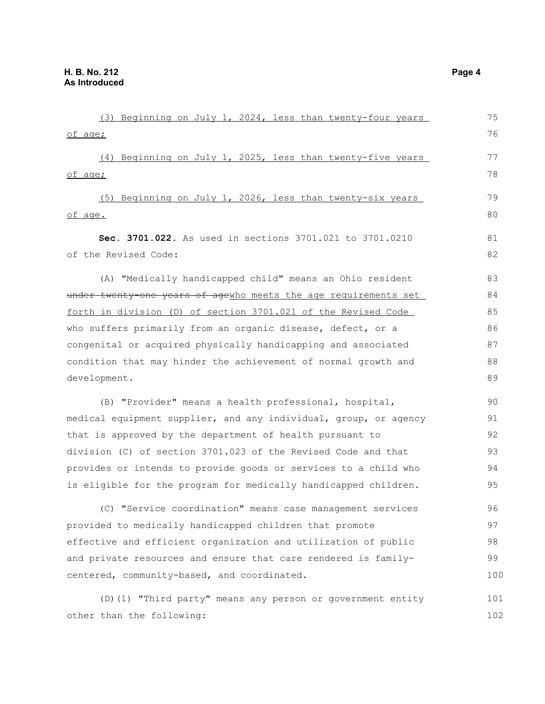| (3) Beginning on July 1, 2024, less than twenty-four years       | 75  |
|------------------------------------------------------------------|-----|
| of age;                                                          | 76  |
| (4) Beginning on July 1, 2025, less than twenty-five years       | 77  |
| of age;                                                          | 78  |
| (5) Beginning on July 1, 2026, less than twenty-six years        | 79  |
| of age.                                                          | 80  |
| Sec. 3701.022. As used in sections 3701.021 to 3701.0210         | 81  |
| of the Revised Code:                                             | 82  |
| (A) "Medically handicapped child" means an Ohio resident         | 83  |
| under twenty one years of agewho meets the age requirements set  | 84  |
| forth in division (D) of section 3701.021 of the Revised Code    | 85  |
| who suffers primarily from an organic disease, defect, or a      | 86  |
| congenital or acquired physically handicapping and associated    |     |
| condition that may hinder the achievement of normal growth and   |     |
| development.                                                     |     |
| (B) "Provider" means a health professional, hospital,            | 90  |
| medical equipment supplier, and any individual, group, or agency |     |
| that is approved by the department of health pursuant to         | 92  |
| division (C) of section 3701.023 of the Revised Code and that    | 93  |
| provides or intends to provide goods or services to a child who  | 94  |
| is eligible for the program for medically handicapped children.  | 95  |
| (C) "Service coordination" means case management services        | 96  |
| provided to medically handicapped children that promote          | 97  |
| effective and efficient organization and utilization of public   | 98  |
| and private resources and ensure that care rendered is family-   |     |
| centered, community-based, and coordinated.                      |     |
| (D) (1) "Third party" means any person or government entity      | 101 |
| other than the following:                                        | 102 |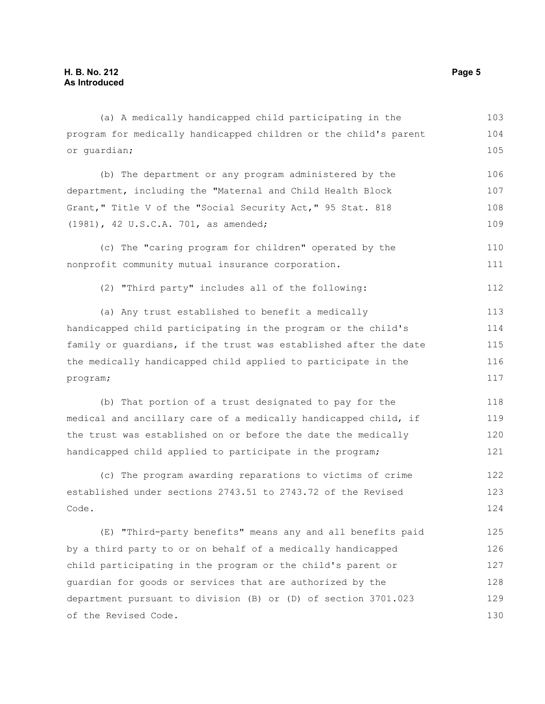(a) A medically handicapped child participating in the program for medically handicapped children or the child's parent or guardian; (b) The department or any program administered by the department, including the "Maternal and Child Health Block Grant," Title V of the "Social Security Act," 95 Stat. 818 (1981), 42 U.S.C.A. 701, as amended; (c) The "caring program for children" operated by the nonprofit community mutual insurance corporation. 103 104 105 106 107 108 109 110 111

(2) "Third party" includes all of the following:

(a) Any trust established to benefit a medically handicapped child participating in the program or the child's family or guardians, if the trust was established after the date the medically handicapped child applied to participate in the program; 113 114 115 116 117

(b) That portion of a trust designated to pay for the medical and ancillary care of a medically handicapped child, if the trust was established on or before the date the medically handicapped child applied to participate in the program; 118 119 120 121

(c) The program awarding reparations to victims of crime established under sections 2743.51 to 2743.72 of the Revised Code. 122 123 124

(E) "Third-party benefits" means any and all benefits paid by a third party to or on behalf of a medically handicapped child participating in the program or the child's parent or guardian for goods or services that are authorized by the department pursuant to division (B) or (D) of section 3701.023 of the Revised Code. 125 126 127 128 129 130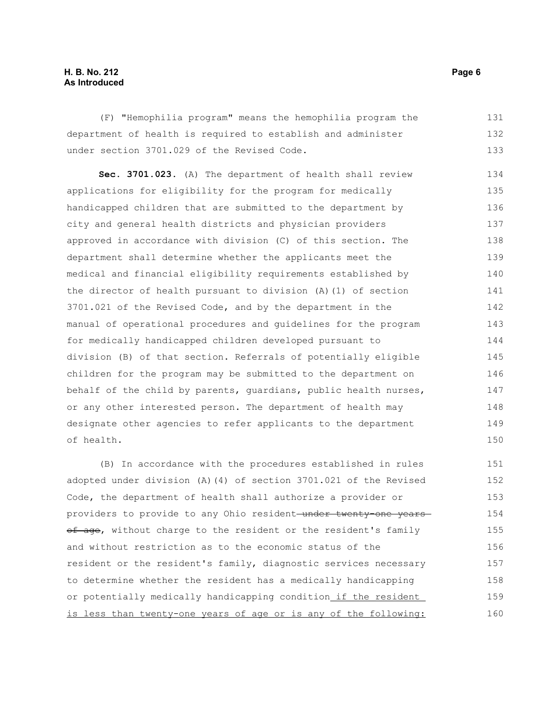#### **H. B. No. 212** Page 6 **As Introduced**

(F) "Hemophilia program" means the hemophilia program the department of health is required to establish and administer under section 3701.029 of the Revised Code. 131 132 133

**Sec. 3701.023.** (A) The department of health shall review applications for eligibility for the program for medically handicapped children that are submitted to the department by city and general health districts and physician providers approved in accordance with division (C) of this section. The department shall determine whether the applicants meet the medical and financial eligibility requirements established by the director of health pursuant to division (A)(1) of section 3701.021 of the Revised Code, and by the department in the manual of operational procedures and guidelines for the program for medically handicapped children developed pursuant to division (B) of that section. Referrals of potentially eligible children for the program may be submitted to the department on behalf of the child by parents, guardians, public health nurses, or any other interested person. The department of health may designate other agencies to refer applicants to the department of health. 134 135 136 137 138 139 140 141 142 143 144 145 146 147 148 149 150

(B) In accordance with the procedures established in rules adopted under division (A)(4) of section 3701.021 of the Revised Code, the department of health shall authorize a provider or providers to provide to any Ohio resident-under twenty-one yearsof age, without charge to the resident or the resident's family and without restriction as to the economic status of the resident or the resident's family, diagnostic services necessary to determine whether the resident has a medically handicapping or potentially medically handicapping condition\_if the resident\_ is less than twenty-one years of age or is any of the following: 151 152 153 154 155 156 157 158 159 160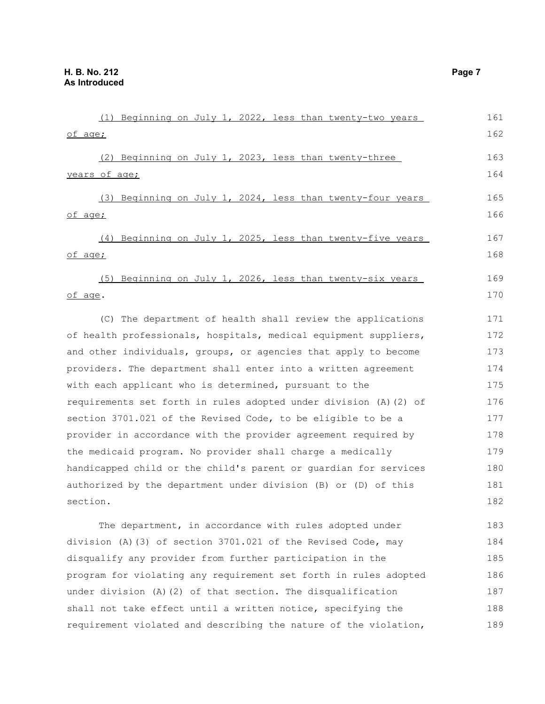| (1) Beginning on July 1, 2022, less than twenty-two years         | 161 |
|-------------------------------------------------------------------|-----|
| of age;                                                           | 162 |
| (2) Beginning on July 1, 2023, less than twenty-three             | 163 |
| years of age;                                                     | 164 |
| (3) Beginning on July 1, 2024, less than twenty-four years        | 165 |
| of age;                                                           | 166 |
| (4) Beginning on July 1, 2025, less than twenty-five years        | 167 |
| of age;                                                           | 168 |
| (5) Beginning on July 1, 2026, less than twenty-six years         | 169 |
| of age.                                                           | 170 |
| (C) The department of health shall review the applications        | 171 |
| of health professionals, hospitals, medical equipment suppliers,  |     |
| and other individuals, groups, or agencies that apply to become   |     |
| providers. The department shall enter into a written agreement    |     |
| with each applicant who is determined, pursuant to the            |     |
| requirements set forth in rules adopted under division (A) (2) of |     |
| section 3701.021 of the Revised Code, to be eligible to be a      |     |
| provider in accordance with the provider agreement required by    |     |
| the medicaid program. No provider shall charge a medically        |     |
| handicapped child or the child's parent or quardian for services  | 180 |
| authorized by the department under division (B) or (D) of this    |     |
| section.                                                          | 182 |
| The department, in accordance with rules adopted under            | 183 |
| division (A) (3) of section 3701.021 of the Revised Code, may     |     |
| disqualify any provider from further participation in the         |     |
| program for violating any requirement set forth in rules adopted  |     |

under division (A)(2) of that section. The disqualification shall not take effect until a written notice, specifying the requirement violated and describing the nature of the violation, 187 188 189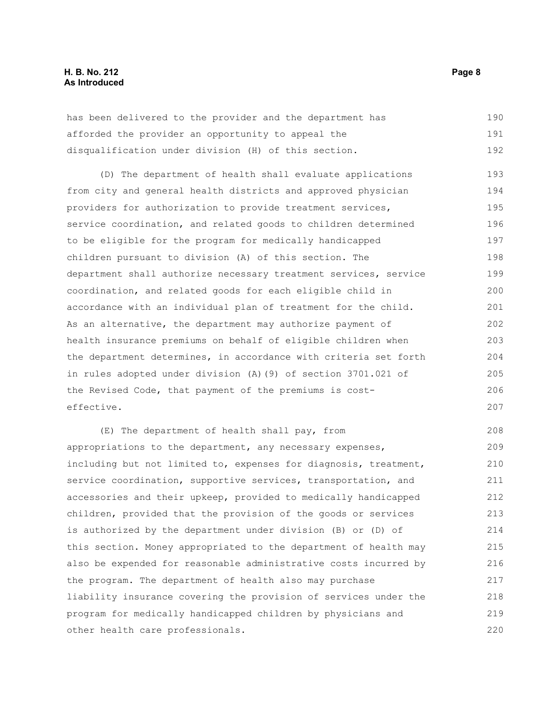#### **H. B. No. 212** Page 8 **As Introduced**

has been delivered to the provider and the department has afforded the provider an opportunity to appeal the disqualification under division (H) of this section. 190 191 192

(D) The department of health shall evaluate applications from city and general health districts and approved physician providers for authorization to provide treatment services, service coordination, and related goods to children determined to be eligible for the program for medically handicapped children pursuant to division (A) of this section. The department shall authorize necessary treatment services, service coordination, and related goods for each eligible child in accordance with an individual plan of treatment for the child. As an alternative, the department may authorize payment of health insurance premiums on behalf of eligible children when the department determines, in accordance with criteria set forth in rules adopted under division (A)(9) of section 3701.021 of the Revised Code, that payment of the premiums is costeffective. 193 194 195 196 197 198 199 200 201 202 203 204 205 206 207

(E) The department of health shall pay, from appropriations to the department, any necessary expenses, including but not limited to, expenses for diagnosis, treatment, service coordination, supportive services, transportation, and accessories and their upkeep, provided to medically handicapped children, provided that the provision of the goods or services is authorized by the department under division (B) or (D) of this section. Money appropriated to the department of health may also be expended for reasonable administrative costs incurred by the program. The department of health also may purchase liability insurance covering the provision of services under the program for medically handicapped children by physicians and other health care professionals. 208 209 210 211 212 213 214 215 216 217 218 219 220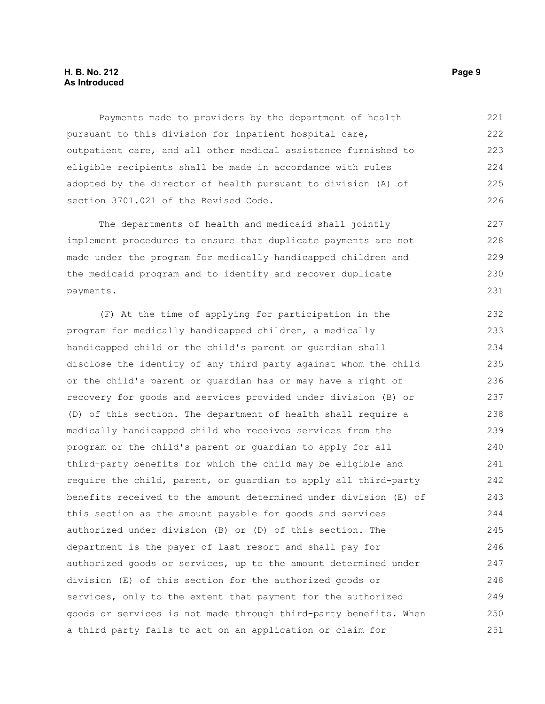#### **H. B. No. 212** Page 9 **As Introduced**

Payments made to providers by the department of health pursuant to this division for inpatient hospital care, outpatient care, and all other medical assistance furnished to eligible recipients shall be made in accordance with rules adopted by the director of health pursuant to division (A) of section 3701.021 of the Revised Code. 221 222 223 224 225 226

The departments of health and medicaid shall jointly implement procedures to ensure that duplicate payments are not made under the program for medically handicapped children and the medicaid program and to identify and recover duplicate payments. 227 228 229 230

(F) At the time of applying for participation in the program for medically handicapped children, a medically handicapped child or the child's parent or guardian shall disclose the identity of any third party against whom the child or the child's parent or guardian has or may have a right of recovery for goods and services provided under division (B) or (D) of this section. The department of health shall require a medically handicapped child who receives services from the program or the child's parent or guardian to apply for all third-party benefits for which the child may be eligible and require the child, parent, or guardian to apply all third-party benefits received to the amount determined under division (E) of this section as the amount payable for goods and services authorized under division (B) or (D) of this section. The department is the payer of last resort and shall pay for authorized goods or services, up to the amount determined under division (E) of this section for the authorized goods or services, only to the extent that payment for the authorized goods or services is not made through third-party benefits. When a third party fails to act on an application or claim for 232 233 234 235 236 237 238 239 240 241 242 243 244 245 246 247 248 249 250 251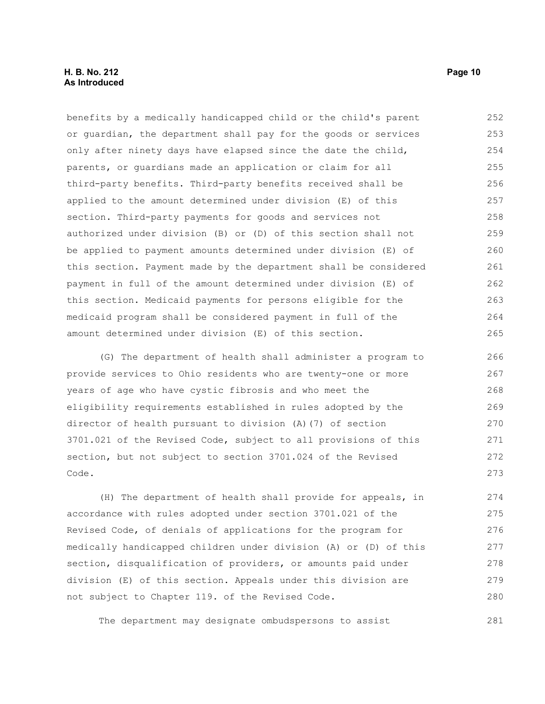benefits by a medically handicapped child or the child's parent or guardian, the department shall pay for the goods or services only after ninety days have elapsed since the date the child, parents, or guardians made an application or claim for all third-party benefits. Third-party benefits received shall be applied to the amount determined under division (E) of this section. Third-party payments for goods and services not authorized under division (B) or (D) of this section shall not be applied to payment amounts determined under division (E) of this section. Payment made by the department shall be considered payment in full of the amount determined under division (E) of this section. Medicaid payments for persons eligible for the medicaid program shall be considered payment in full of the amount determined under division (E) of this section. 252 253 254 255 256 257 258 259 260 261 262 263 264 265

(G) The department of health shall administer a program to provide services to Ohio residents who are twenty-one or more years of age who have cystic fibrosis and who meet the eligibility requirements established in rules adopted by the director of health pursuant to division (A)(7) of section 3701.021 of the Revised Code, subject to all provisions of this section, but not subject to section 3701.024 of the Revised Code. 266 267 268 269 270 271 272 273

(H) The department of health shall provide for appeals, in accordance with rules adopted under section 3701.021 of the Revised Code, of denials of applications for the program for medically handicapped children under division (A) or (D) of this section, disqualification of providers, or amounts paid under division (E) of this section. Appeals under this division are not subject to Chapter 119. of the Revised Code. 274 275 276 277 278 279 280

The department may designate ombudspersons to assist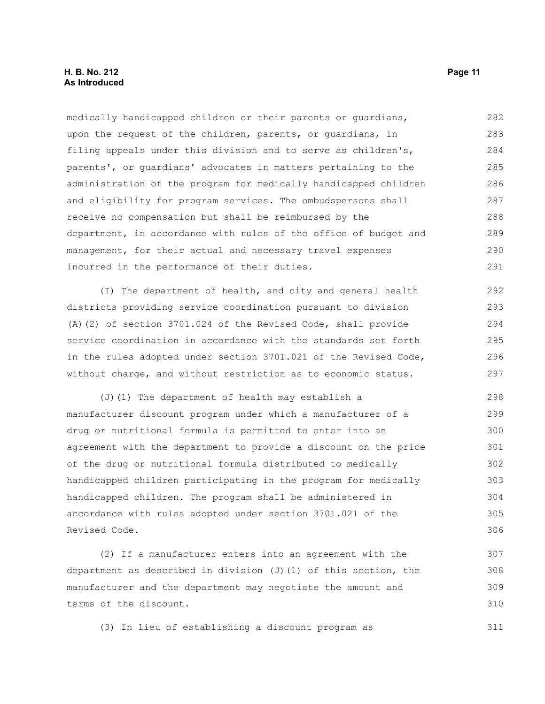#### **H. B. No. 212 Page 11 As Introduced**

medically handicapped children or their parents or guardians, upon the request of the children, parents, or guardians, in filing appeals under this division and to serve as children's, parents', or guardians' advocates in matters pertaining to the administration of the program for medically handicapped children and eligibility for program services. The ombudspersons shall receive no compensation but shall be reimbursed by the department, in accordance with rules of the office of budget and management, for their actual and necessary travel expenses incurred in the performance of their duties. 282 283 284 285 286 287 288 289 290 291

(I) The department of health, and city and general health districts providing service coordination pursuant to division (A)(2) of section 3701.024 of the Revised Code, shall provide service coordination in accordance with the standards set forth in the rules adopted under section 3701.021 of the Revised Code, without charge, and without restriction as to economic status. 292 293 294 295 296 297

(J)(1) The department of health may establish a manufacturer discount program under which a manufacturer of a drug or nutritional formula is permitted to enter into an agreement with the department to provide a discount on the price of the drug or nutritional formula distributed to medically handicapped children participating in the program for medically handicapped children. The program shall be administered in accordance with rules adopted under section 3701.021 of the Revised Code. 298 299 300 301 302 303 304 305 306

(2) If a manufacturer enters into an agreement with the department as described in division  $(J)$  (1) of this section, the manufacturer and the department may negotiate the amount and terms of the discount. 307 308 309 310

(3) In lieu of establishing a discount program as